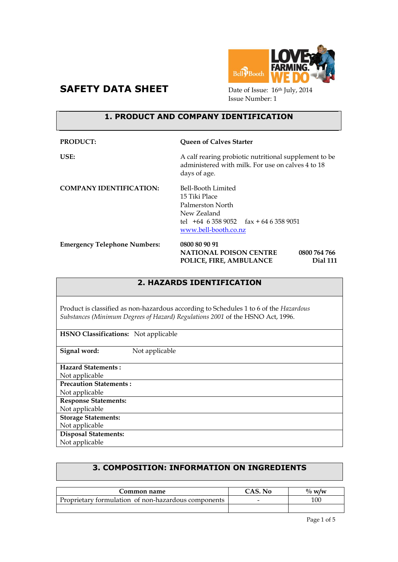



Issue Number: 1

#### **1. PRODUCT AND COMPANY IDENTIFICATION**

| <b>PRODUCT:</b>                     | <b>Queen of Calves Starter</b>                                                                                                             |
|-------------------------------------|--------------------------------------------------------------------------------------------------------------------------------------------|
| USE:                                | A calf rearing probiotic nutritional supplement to be<br>administered with milk. For use on calves 4 to 18<br>days of age.                 |
| <b>COMPANY IDENTIFICATION:</b>      | Bell-Booth Limited<br>15 Tiki Place<br>Palmerston North<br>New Zealand<br>tel $+64$ 6 358 9052 fax + 64 6 358 9051<br>www.bell-booth.co.nz |
| <b>Emergency Telephone Numbers:</b> | 0800 80 90 91<br><b>NATIONAL POISON CENTRE</b><br>0800 764 766<br>POLICE, FIRE, AMBULANCE<br>Dial 111                                      |

# **2. HAZARDS IDENTIFICATION**

Product is classified as non-hazardous according to Schedules 1 to 6 of the *Hazardous Substances (Minimum Degrees of Hazard) Regulations 2001* of the HSNO Act, 1996.

**HSNO Classifications:** Not applicable

**Signal word:** Not applicable

**Hazard Statements :** 

Not applicable **Precaution Statements :**

Not applicable

**Response Statements:**

Not applicable

**Storage Statements:**

Not applicable **Disposal Statements:**

Not applicable

# **3. COMPOSITION: INFORMATION ON INGREDIENTS**

| Common name                                         | CAS. No | $\%$ w/w |
|-----------------------------------------------------|---------|----------|
| Proprietary formulation of non-hazardous components |         | 100      |
|                                                     |         |          |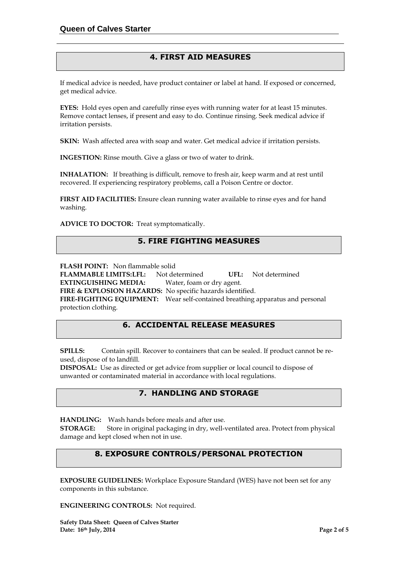## **4. FIRST AID MEASURES**

If medical advice is needed, have product container or label at hand. If exposed or concerned, get medical advice.

**EYES:** Hold eyes open and carefully rinse eyes with running water for at least 15 minutes. Remove contact lenses, if present and easy to do. Continue rinsing. Seek medical advice if irritation persists.

**SKIN:** Wash affected area with soap and water. Get medical advice if irritation persists.

**INGESTION:** Rinse mouth. Give a glass or two of water to drink.

**INHALATION:** If breathing is difficult, remove to fresh air, keep warm and at rest until recovered. If experiencing respiratory problems, call a Poison Centre or doctor.

**FIRST AID FACILITIES:** Ensure clean running water available to rinse eyes and for hand washing.

**ADVICE TO DOCTOR:** Treat symptomatically.

#### **5. FIRE FIGHTING MEASURES**

**FLASH POINT:** Non flammable solid

**FLAMMABLE LIMITS:LFL:** Not determined **UFL:** Not determined **EXTINGUISHING MEDIA:** Water, foam or dry agent. **FIRE & EXPLOSION HAZARDS:** No specific hazards identified. **FIRE-FIGHTING EQUIPMENT:** Wear self-contained breathing apparatus and personal protection clothing.

## **6. ACCIDENTAL RELEASE MEASURES**

**SPILLS:** Contain spill. Recover to containers that can be sealed. If product cannot be reused, dispose of to landfill.

**DISPOSAL:** Use as directed or get advice from supplier or local council to dispose of unwanted or contaminated material in accordance with local regulations.

### **7. HANDLING AND STORAGE**

**HANDLING:** Wash hands before meals and after use.

**STORAGE:** Store in original packaging in dry, well-ventilated area. Protect from physical damage and kept closed when not in use.

### **8. EXPOSURE CONTROLS/PERSONAL PROTECTION**

**EXPOSURE GUIDELINES:** Workplace Exposure Standard (WES) have not been set for any components in this substance.

**ENGINEERING CONTROLS:** Not required.

**Safety Data Sheet: Queen of Calves Starter Date: 16th July, 2014 Page 2 of 5**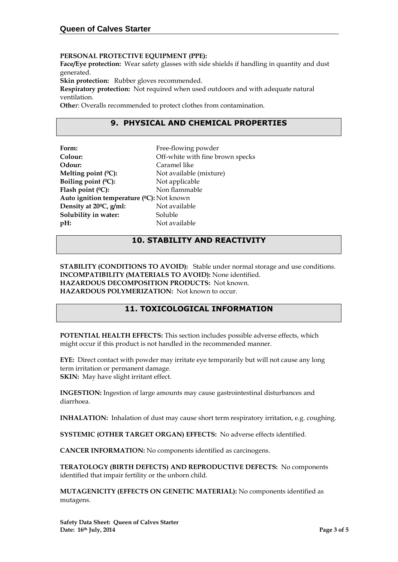#### **PERSONAL PROTECTIVE EQUIPMENT (PPE):**

**Face/Eye protection:** Wear safety glasses with side shields if handling in quantity and dust generated.

**Skin protection:** Rubber gloves recommended.

**Respiratory protection:** Not required when used outdoors and with adequate natural ventilation.

**Othe**r: Overalls recommended to protect clothes from contamination.

## **9. PHYSICAL AND CHEMICAL PROPERTIES**

| Form:                                     | Free-flowing powder              |
|-------------------------------------------|----------------------------------|
| Colour:                                   | Off-white with fine brown specks |
| Odour:                                    | Caramel like                     |
| Melting point $(^0C)$ :                   | Not available (mixture)          |
| Boiling point $(°C)$ :                    | Not applicable                   |
| Flash point $(°C)$ :                      | Non flammable                    |
| Auto ignition temperature (°C): Not known |                                  |
| Density at 20 <sup>o</sup> C, g/ml:       | Not available                    |
| Solubility in water:                      | Soluble                          |
| $pH$ :                                    | Not available                    |

### **10. STABILITY AND REACTIVITY**

**STABILITY (CONDITIONS TO AVOID):** Stable under normal storage and use conditions. **INCOMPATIBILITY (MATERIALS TO AVOID):** None identified. **HAZARDOUS DECOMPOSITION PRODUCTS:** Not known. **HAZARDOUS POLYMERIZATION:** Not known to occur.

#### **11. TOXICOLOGICAL INFORMATION**

**POTENTIAL HEALTH EFFECTS:** This section includes possible adverse effects, which might occur if this product is not handled in the recommended manner.

**EYE:** Direct contact with powder may irritate eye temporarily but will not cause any long term irritation or permanent damage. **SKIN:** May have slight irritant effect.

**INGESTION:** Ingestion of large amounts may cause gastrointestinal disturbances and diarrhoea.

**INHALATION:** Inhalation of dust may cause short term respiratory irritation, e.g. coughing.

**SYSTEMIC (OTHER TARGET ORGAN) EFFECTS:** No adverse effects identified.

**CANCER INFORMATION:** No components identified as carcinogens.

**TERATOLOGY (BIRTH DEFECTS) AND REPRODUCTIVE DEFECTS:** No components identified that impair fertility or the unborn child.

**MUTAGENICITY (EFFECTS ON GENETIC MATERIAL):** No components identified as mutagens.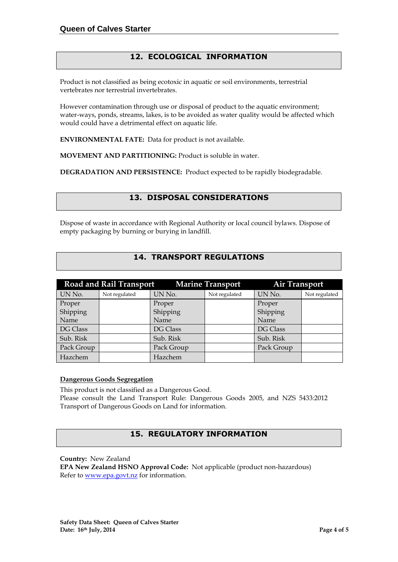# **12. ECOLOGICAL INFORMATION**

Product is not classified as being ecotoxic in aquatic or soil environments, terrestrial vertebrates nor terrestrial invertebrates.

However contamination through use or disposal of product to the aquatic environment; water-ways, ponds, streams, lakes, is to be avoided as water quality would be affected which would could have a detrimental effect on aquatic life.

**ENVIRONMENTAL FATE:** Data for product is not available.

**MOVEMENT AND PARTITIONING:** Product is soluble in water.

**DEGRADATION AND PERSISTENCE:** Product expected to be rapidly biodegradable.

### **13. DISPOSAL CONSIDERATIONS**

Dispose of waste in accordance with Regional Authority or local council bylaws. Dispose of empty packaging by burning or burying in landfill.

### **14. TRANSPORT REGULATIONS**

| <b>Road and Rail Transport</b><br><b>Marine Transport</b> |               |            |               | <b>Air Transport</b> |               |
|-----------------------------------------------------------|---------------|------------|---------------|----------------------|---------------|
| UN No.                                                    | Not regulated | UN No.     | Not regulated | UN No.               | Not regulated |
| Proper                                                    |               | Proper     |               | Proper               |               |
| Shipping                                                  |               | Shipping   |               | Shipping             |               |
| Name                                                      |               | Name       |               | Name                 |               |
| DG Class                                                  |               | DG Class   |               | DG Class             |               |
| Sub. Risk                                                 |               | Sub. Risk  |               | Sub. Risk            |               |
| Pack Group                                                |               | Pack Group |               | Pack Group           |               |
| Hazchem                                                   |               | Hazchem    |               |                      |               |

#### **Dangerous Goods Segregation**

This product is not classified as a Dangerous Good.

Please consult the Land Transport Rule: Dangerous Goods 2005, and NZS 5433:2012 Transport of Dangerous Goods on Land for information.

### **15. REGULATORY INFORMATION**

**Country:** New Zealand

**EPA New Zealand HSNO Approval Code:** Not applicable (product non-hazardous) Refer to [www.epa.govt.nz](http://www.epa.govt.nz/) for information.